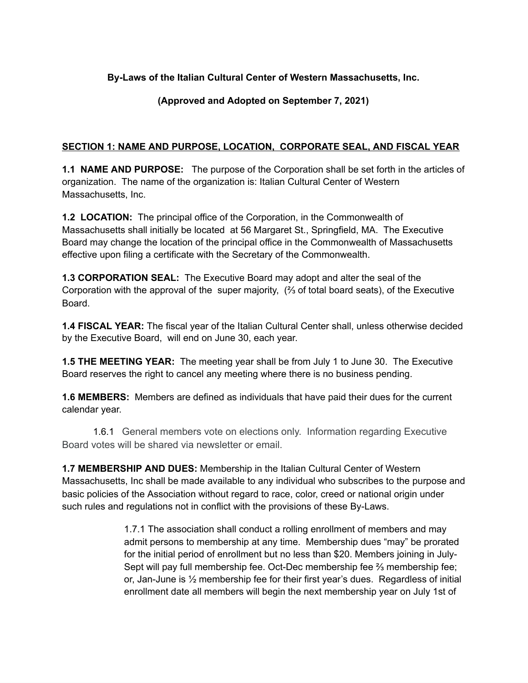### **By-Laws of the Italian Cultural Center of Western Massachusetts, Inc.**

### **(Approved and Adopted on September 7, 2021)**

### **SECTION 1: NAME AND PURPOSE, LOCATION, CORPORATE SEAL, AND FISCAL YEAR**

**1.1 NAME AND PURPOSE:** The purpose of the Corporation shall be set forth in the articles of organization. The name of the organization is: Italian Cultural Center of Western Massachusetts, Inc.

**1.2 LOCATION:** The principal office of the Corporation, in the Commonwealth of Massachusetts shall initially be located at 56 Margaret St., Springfield, MA. The Executive Board may change the location of the principal office in the Commonwealth of Massachusetts effective upon filing a certificate with the Secretary of the Commonwealth.

**1.3 CORPORATION SEAL:** The Executive Board may adopt and alter the seal of the Corporation with the approval of the super majority, (⅔ of total board seats), of the Executive Board.

**1.4 FISCAL YEAR:** The fiscal year of the Italian Cultural Center shall, unless otherwise decided by the Executive Board, will end on June 30, each year.

**1.5 THE MEETING YEAR:** The meeting year shall be from July 1 to June 30. The Executive Board reserves the right to cancel any meeting where there is no business pending.

**1.6 MEMBERS:** Members are defined as individuals that have paid their dues for the current calendar year.

1.6.1 General members vote on elections only. Information regarding Executive Board votes will be shared via newsletter or email.

**1.7 MEMBERSHIP AND DUES:** Membership in the Italian Cultural Center of Western Massachusetts, Inc shall be made available to any individual who subscribes to the purpose and basic policies of the Association without regard to race, color, creed or national origin under such rules and regulations not in conflict with the provisions of these By-Laws.

> 1.7.1 The association shall conduct a rolling enrollment of members and may admit persons to membership at any time. Membership dues "may" be prorated for the initial period of enrollment but no less than \$20. Members joining in July-Sept will pay full membership fee. Oct-Dec membership fee  $\frac{2}{3}$  membership fee; or, Jan-June is  $\frac{1}{2}$  membership fee for their first year's dues. Regardless of initial enrollment date all members will begin the next membership year on July 1st of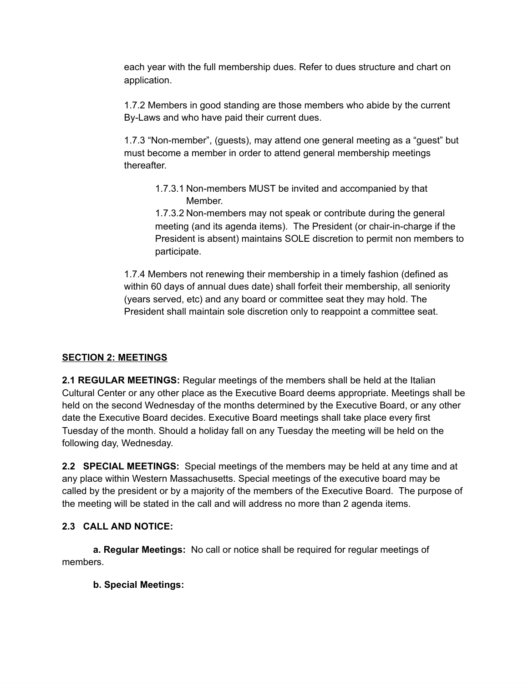each year with the full membership dues. Refer to dues structure and chart on application.

1.7.2 Members in good standing are those members who abide by the current By-Laws and who have paid their current dues.

1.7.3 "Non-member", (guests), may attend one general meeting as a "guest" but must become a member in order to attend general membership meetings thereafter.

1.7.3.1 Non-members MUST be invited and accompanied by that Member.

1.7.3.2 Non-members may not speak or contribute during the general meeting (and its agenda items). The President (or chair-in-charge if the President is absent) maintains SOLE discretion to permit non members to participate.

1.7.4 Members not renewing their membership in a timely fashion (defined as within 60 days of annual dues date) shall forfeit their membership, all seniority (years served, etc) and any board or committee seat they may hold. The President shall maintain sole discretion only to reappoint a committee seat.

# **SECTION 2: MEETINGS**

**2.1 REGULAR MEETINGS:** Regular meetings of the members shall be held at the Italian Cultural Center or any other place as the Executive Board deems appropriate. Meetings shall be held on the second Wednesday of the months determined by the Executive Board, or any other date the Executive Board decides. Executive Board meetings shall take place every first Tuesday of the month. Should a holiday fall on any Tuesday the meeting will be held on the following day, Wednesday.

**2.2 SPECIAL MEETINGS:** Special meetings of the members may be held at any time and at any place within Western Massachusetts. Special meetings of the executive board may be called by the president or by a majority of the members of the Executive Board. The purpose of the meeting will be stated in the call and will address no more than 2 agenda items.

# **2.3 CALL AND NOTICE:**

**a. Regular Meetings:** No call or notice shall be required for regular meetings of members.

### **b. Special Meetings:**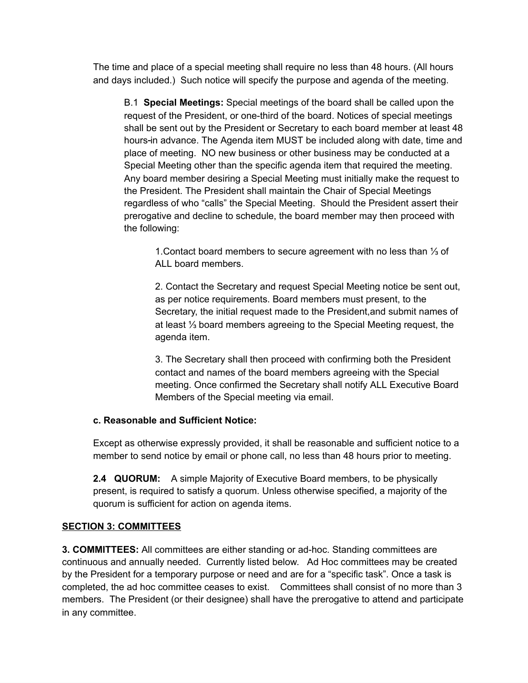The time and place of a special meeting shall require no less than 48 hours. (All hours and days included.) Such notice will specify the purpose and agenda of the meeting.

B.1 **Special Meetings:** Special meetings of the board shall be called upon the request of the President, or one-third of the board. Notices of special meetings shall be sent out by the President or Secretary to each board member at least 48 hours in advance. The Agenda item MUST be included along with date, time and place of meeting. NO new business or other business may be conducted at a Special Meeting other than the specific agenda item that required the meeting. Any board member desiring a Special Meeting must initially make the request to the President. The President shall maintain the Chair of Special Meetings regardless of who "calls" the Special Meeting. Should the President assert their prerogative and decline to schedule, the board member may then proceed with the following:

1.Contact board members to secure agreement with no less than ⅓ of ALL board members.

2. Contact the Secretary and request Special Meeting notice be sent out, as per notice requirements. Board members must present, to the Secretary, the initial request made to the President,and submit names of at least ⅓ board members agreeing to the Special Meeting request, the agenda item.

3. The Secretary shall then proceed with confirming both the President contact and names of the board members agreeing with the Special meeting. Once confirmed the Secretary shall notify ALL Executive Board Members of the Special meeting via email.

### **c. Reasonable and Sufficient Notice:**

Except as otherwise expressly provided, it shall be reasonable and sufficient notice to a member to send notice by email or phone call, no less than 48 hours prior to meeting.

**2.4 QUORUM:** A simple Majority of Executive Board members, to be physically present, is required to satisfy a quorum. Unless otherwise specified, a majority of the quorum is sufficient for action on agenda items.

### **SECTION 3: COMMITTEES**

**3. COMMITTEES:** All committees are either standing or ad-hoc. Standing committees are continuous and annually needed. Currently listed below. Ad Hoc committees may be created by the President for a temporary purpose or need and are for a "specific task". Once a task is completed, the ad hoc committee ceases to exist. Committees shall consist of no more than 3 members. The President (or their designee) shall have the prerogative to attend and participate in any committee.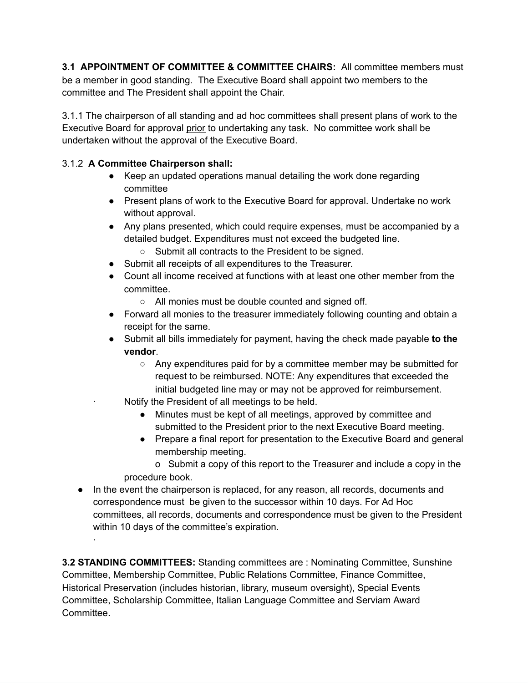**3.1 APPOINTMENT OF COMMITTEE & COMMITTEE CHAIRS:** All committee members must be a member in good standing. The Executive Board shall appoint two members to the committee and The President shall appoint the Chair.

3.1.1 The chairperson of all standing and ad hoc committees shall present plans of work to the Executive Board for approval prior to undertaking any task. No committee work shall be undertaken without the approval of the Executive Board.

## 3.1.2 **A Committee Chairperson shall:**

·

- Keep an updated operations manual detailing the work done regarding committee
- Present plans of work to the Executive Board for approval. Undertake no work without approval.
- Any plans presented, which could require expenses, must be accompanied by a detailed budget. Expenditures must not exceed the budgeted line.
	- Submit all contracts to the President to be signed.
- Submit all receipts of all expenditures to the Treasurer.
- Count all income received at functions with at least one other member from the committee.
	- All monies must be double counted and signed off.
- Forward all monies to the treasurer immediately following counting and obtain a receipt for the same.
- Submit all bills immediately for payment, having the check made payable **to the vendor**.
	- $\circ$  Any expenditures paid for by a committee member may be submitted for request to be reimbursed. NOTE: Any expenditures that exceeded the initial budgeted line may or may not be approved for reimbursement.
	- Notify the President of all meetings to be held.
		- Minutes must be kept of all meetings, approved by committee and submitted to the President prior to the next Executive Board meeting.
		- Prepare a final report for presentation to the Executive Board and general membership meeting.

o Submit a copy of this report to the Treasurer and include a copy in the procedure book.

● In the event the chairperson is replaced, for any reason, all records, documents and correspondence must be given to the successor within 10 days. For Ad Hoc committees, all records, documents and correspondence must be given to the President within 10 days of the committee's expiration.

**3.2 STANDING COMMITTEES:** Standing committees are : Nominating Committee, Sunshine Committee, Membership Committee, Public Relations Committee, Finance Committee, Historical Preservation (includes historian, library, museum oversight), Special Events Committee, Scholarship Committee, Italian Language Committee and Serviam Award Committee.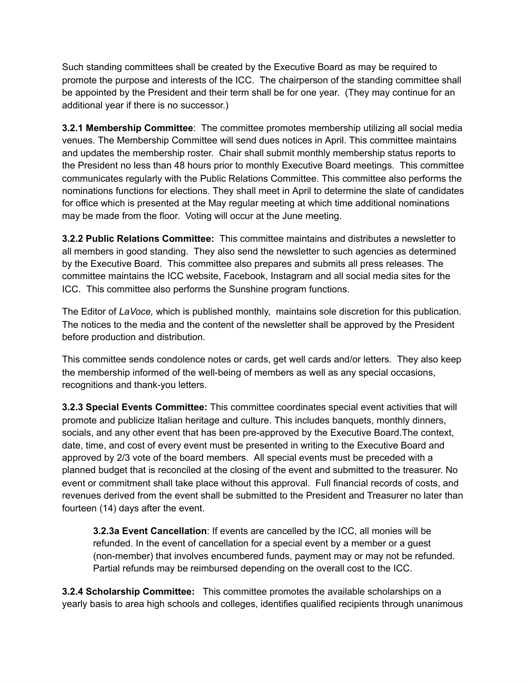Such standing committees shall be created by the Executive Board as may be required to promote the purpose and interests of the ICC. The chairperson of the standing committee shall be appointed by the President and their term shall be for one year. (They may continue for an additional year if there is no successor.)

**3.2.1 Membership Committee**: The committee promotes membership utilizing all social media venues. The Membership Committee will send dues notices in April. This committee maintains and updates the membership roster. Chair shall submit monthly membership status reports to the President no less than 48 hours prior to monthly Executive Board meetings. This committee communicates regularly with the Public Relations Committee. This committee also performs the nominations functions for elections. They shall meet in April to determine the slate of candidates for office which is presented at the May regular meeting at which time additional nominations may be made from the floor. Voting will occur at the June meeting.

**3.2.2 Public Relations Committee:** This committee maintains and distributes a newsletter to all members in good standing. They also send the newsletter to such agencies as determined by the Executive Board. This committee also prepares and submits all press releases. The committee maintains the ICC website, Facebook, Instagram and all social media sites for the ICC. This committee also performs the Sunshine program functions.

The Editor of *LaVoce,* which is published monthly, maintains sole discretion for this publication. The notices to the media and the content of the newsletter shall be approved by the President before production and distribution.

This committee sends condolence notes or cards, get well cards and/or letters. They also keep the membership informed of the well-being of members as well as any special occasions, recognitions and thank-you letters.

**3.2.3 Special Events Committee:** This committee coordinates special event activities that will promote and publicize Italian heritage and culture. This includes banquets, monthly dinners, socials, and any other event that has been pre-approved by the Executive Board.The context, date, time, and cost of every event must be presented in writing to the Executive Board and approved by 2/3 vote of the board members. All special events must be preceded with a planned budget that is reconciled at the closing of the event and submitted to the treasurer. No event or commitment shall take place without this approval. Full financial records of costs, and revenues derived from the event shall be submitted to the President and Treasurer no later than fourteen (14) days after the event.

**3.2.3a Event Cancellation**: If events are cancelled by the ICC, all monies will be refunded. In the event of cancellation for a special event by a member or a guest (non-member) that involves encumbered funds, payment may or may not be refunded. Partial refunds may be reimbursed depending on the overall cost to the ICC.

**3.2.4 Scholarship Committee:** This committee promotes the available scholarships on a yearly basis to area high schools and colleges, identifies qualified recipients through unanimous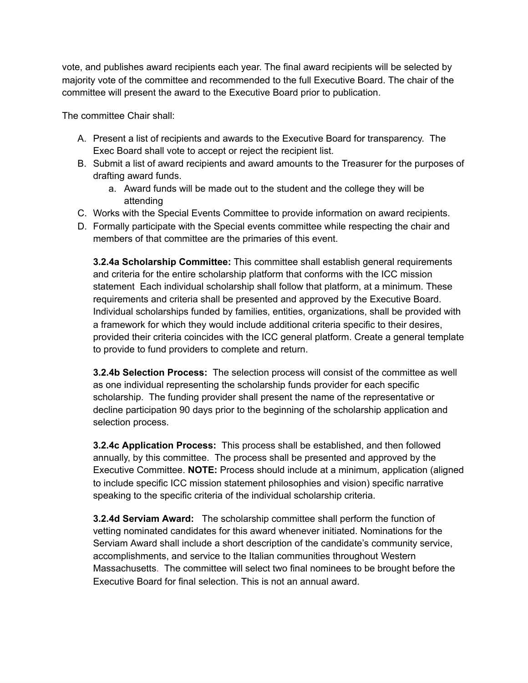vote, and publishes award recipients each year. The final award recipients will be selected by majority vote of the committee and recommended to the full Executive Board. The chair of the committee will present the award to the Executive Board prior to publication.

The committee Chair shall:

- A. Present a list of recipients and awards to the Executive Board for transparency. The Exec Board shall vote to accept or reject the recipient list.
- B. Submit a list of award recipients and award amounts to the Treasurer for the purposes of drafting award funds.
	- a. Award funds will be made out to the student and the college they will be attending
- C. Works with the Special Events Committee to provide information on award recipients.
- D. Formally participate with the Special events committee while respecting the chair and members of that committee are the primaries of this event.

**3.2.4a Scholarship Committee:** This committee shall establish general requirements and criteria for the entire scholarship platform that conforms with the ICC mission statement Each individual scholarship shall follow that platform, at a minimum. These requirements and criteria shall be presented and approved by the Executive Board. Individual scholarships funded by families, entities, organizations, shall be provided with a framework for which they would include additional criteria specific to their desires, provided their criteria coincides with the ICC general platform. Create a general template to provide to fund providers to complete and return.

**3.2.4b Selection Process:** The selection process will consist of the committee as well as one individual representing the scholarship funds provider for each specific scholarship. The funding provider shall present the name of the representative or decline participation 90 days prior to the beginning of the scholarship application and selection process.

**3.2.4c Application Process:** This process shall be established, and then followed annually, by this committee. The process shall be presented and approved by the Executive Committee. **NOTE:** Process should include at a minimum, application (aligned to include specific ICC mission statement philosophies and vision) specific narrative speaking to the specific criteria of the individual scholarship criteria.

**3.2.4d Serviam Award:** The scholarship committee shall perform the function of vetting nominated candidates for this award whenever initiated. Nominations for the Serviam Award shall include a short description of the candidate's community service, accomplishments, and service to the Italian communities throughout Western Massachusetts. The committee will select two final nominees to be brought before the Executive Board for final selection. This is not an annual award.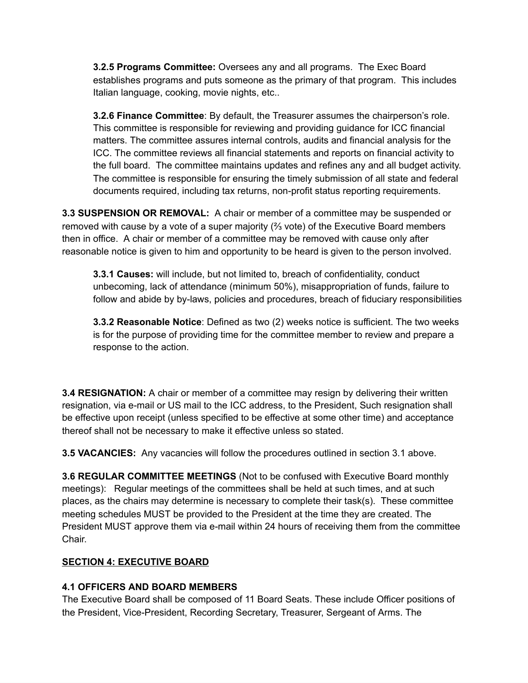**3.2.5 Programs Committee:** Oversees any and all programs. The Exec Board establishes programs and puts someone as the primary of that program. This includes Italian language, cooking, movie nights, etc..

**3.2.6 Finance Committee**: By default, the Treasurer assumes the chairperson's role. This committee is responsible for reviewing and providing guidance for ICC financial matters. The committee assures internal controls, audits and financial analysis for the ICC. The committee reviews all financial statements and reports on financial activity to the full board. The committee maintains updates and refines any and all budget activity. The committee is responsible for ensuring the timely submission of all state and federal documents required, including tax returns, non-profit status reporting requirements.

**3.3 SUSPENSION OR REMOVAL:** A chair or member of a committee may be suspended or removed with cause by a vote of a super majority  $($ {<math>\frac{2}{3}</math> vote) of the Executive Board members then in office. A chair or member of a committee may be removed with cause only after reasonable notice is given to him and opportunity to be heard is given to the person involved.

**3.3.1 Causes:** will include, but not limited to, breach of confidentiality, conduct unbecoming, lack of attendance (minimum 50%), misappropriation of funds, failure to follow and abide by by-laws, policies and procedures, breach of fiduciary responsibilities

**3.3.2 Reasonable Notice**: Defined as two (2) weeks notice is sufficient. The two weeks is for the purpose of providing time for the committee member to review and prepare a response to the action.

**3.4 RESIGNATION:** A chair or member of a committee may resign by delivering their written resignation, via e-mail or US mail to the ICC address, to the President, Such resignation shall be effective upon receipt (unless specified to be effective at some other time) and acceptance thereof shall not be necessary to make it effective unless so stated.

**3.5 VACANCIES:** Any vacancies will follow the procedures outlined in section 3.1 above.

**3.6 REGULAR COMMITTEE MEETINGS** (Not to be confused with Executive Board monthly meetings): Regular meetings of the committees shall be held at such times, and at such places, as the chairs may determine is necessary to complete their task(s). These committee meeting schedules MUST be provided to the President at the time they are created. The President MUST approve them via e-mail within 24 hours of receiving them from the committee Chair.

### **SECTION 4: EXECUTIVE BOARD**

### **4.1 OFFICERS AND BOARD MEMBERS**

The Executive Board shall be composed of 11 Board Seats. These include Officer positions of the President, Vice-President, Recording Secretary, Treasurer, Sergeant of Arms. The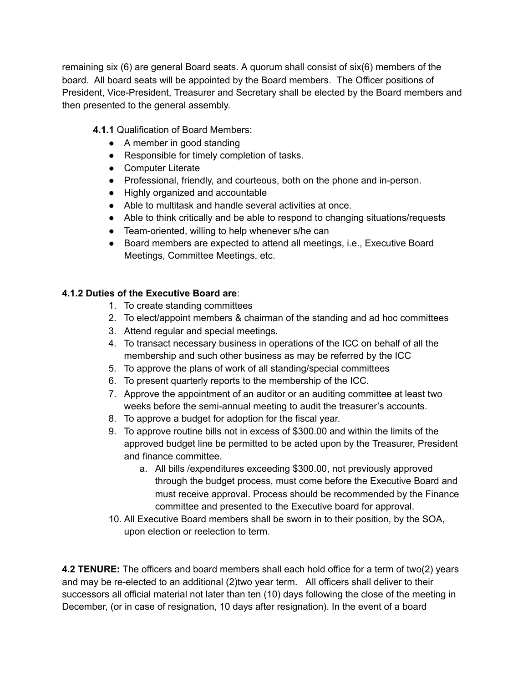remaining six (6) are general Board seats. A quorum shall consist of six(6) members of the board. All board seats will be appointed by the Board members. The Officer positions of President, Vice-President, Treasurer and Secretary shall be elected by the Board members and then presented to the general assembly.

**4.1.1** Qualification of Board Members:

- A member in good standing
- Responsible for timely completion of tasks.
- Computer Literate
- Professional, friendly, and courteous, both on the phone and in-person.
- Highly organized and accountable
- Able to multitask and handle several activities at once.
- Able to think critically and be able to respond to changing situations/requests
- Team-oriented, willing to help whenever s/he can
- Board members are expected to attend all meetings, i.e., Executive Board Meetings, Committee Meetings, etc.

### **4.1.2 Duties of the Executive Board are**:

- 1. To create standing committees
- 2. To elect/appoint members & chairman of the standing and ad hoc committees
- 3. Attend regular and special meetings.
- 4. To transact necessary business in operations of the ICC on behalf of all the membership and such other business as may be referred by the ICC
- 5. To approve the plans of work of all standing/special committees
- 6. To present quarterly reports to the membership of the ICC.
- 7. Approve the appointment of an auditor or an auditing committee at least two weeks before the semi-annual meeting to audit the treasurer's accounts.
- 8. To approve a budget for adoption for the fiscal year.
- 9. To approve routine bills not in excess of \$300.00 and within the limits of the approved budget line be permitted to be acted upon by the Treasurer, President and finance committee.
	- a. All bills /expenditures exceeding \$300.00, not previously approved through the budget process, must come before the Executive Board and must receive approval. Process should be recommended by the Finance committee and presented to the Executive board for approval.
- 10. All Executive Board members shall be sworn in to their position, by the SOA, upon election or reelection to term.

**4.2 TENURE:** The officers and board members shall each hold office for a term of two(2) years and may be re-elected to an additional (2)two year term. All officers shall deliver to their successors all official material not later than ten (10) days following the close of the meeting in December, (or in case of resignation, 10 days after resignation). In the event of a board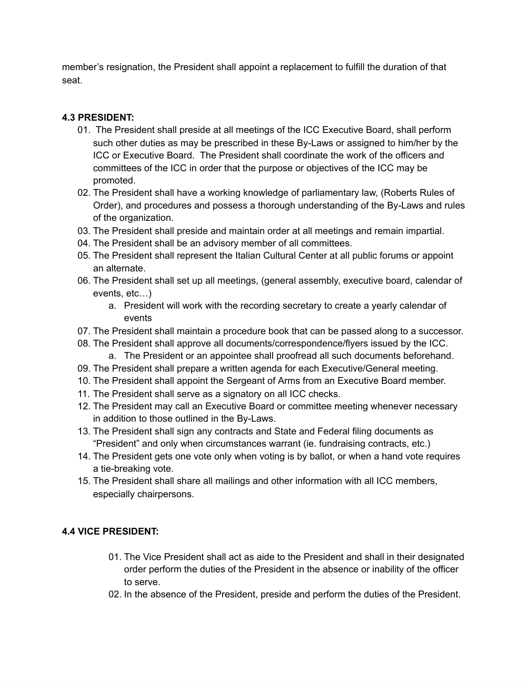member's resignation, the President shall appoint a replacement to fulfill the duration of that seat.

## **4.3 PRESIDENT:**

- 01. The President shall preside at all meetings of the ICC Executive Board, shall perform such other duties as may be prescribed in these By-Laws or assigned to him/her by the ICC or Executive Board. The President shall coordinate the work of the officers and committees of the ICC in order that the purpose or objectives of the ICC may be promoted.
- 02. The President shall have a working knowledge of parliamentary law, (Roberts Rules of Order), and procedures and possess a thorough understanding of the By-Laws and rules of the organization.
- 03. The President shall preside and maintain order at all meetings and remain impartial.
- 04. The President shall be an advisory member of all committees.
- 05. The President shall represent the Italian Cultural Center at all public forums or appoint an alternate.
- 06. The President shall set up all meetings, (general assembly, executive board, calendar of events, etc…)
	- a. President will work with the recording secretary to create a yearly calendar of events
- 07. The President shall maintain a procedure book that can be passed along to a successor.
- 08. The President shall approve all documents/correspondence/flyers issued by the ICC.
	- a. The President or an appointee shall proofread all such documents beforehand.
- 09. The President shall prepare a written agenda for each Executive/General meeting.
- 10. The President shall appoint the Sergeant of Arms from an Executive Board member.
- 11. The President shall serve as a signatory on all ICC checks.
- 12. The President may call an Executive Board or committee meeting whenever necessary in addition to those outlined in the By-Laws.
- 13. The President shall sign any contracts and State and Federal filing documents as "President" and only when circumstances warrant (ie. fundraising contracts, etc.)
- 14. The President gets one vote only when voting is by ballot, or when a hand vote requires a tie-breaking vote.
- 15. The President shall share all mailings and other information with all ICC members, especially chairpersons.

# **4.4 VICE PRESIDENT:**

- 01. The Vice President shall act as aide to the President and shall in their designated order perform the duties of the President in the absence or inability of the officer to serve.
- 02. In the absence of the President, preside and perform the duties of the President.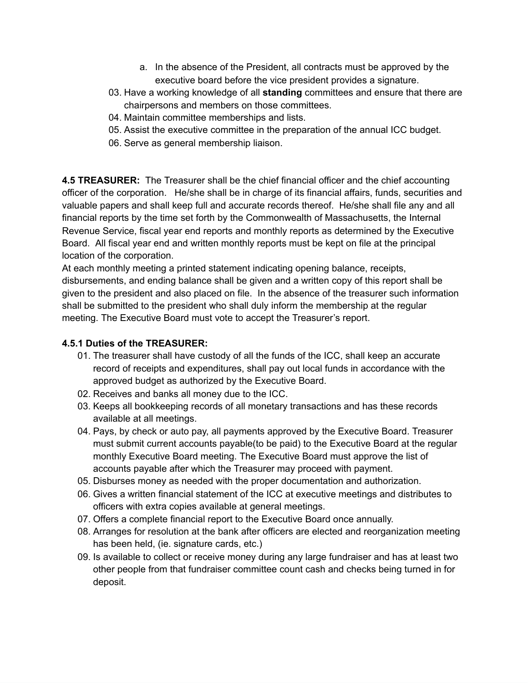- a. In the absence of the President, all contracts must be approved by the executive board before the vice president provides a signature.
- 03. Have a working knowledge of all **standing** committees and ensure that there are chairpersons and members on those committees.
- 04. Maintain committee memberships and lists.
- 05. Assist the executive committee in the preparation of the annual ICC budget.
- 06. Serve as general membership liaison.

**4.5 TREASURER:** The Treasurer shall be the chief financial officer and the chief accounting officer of the corporation. He/she shall be in charge of its financial affairs, funds, securities and valuable papers and shall keep full and accurate records thereof. He/she shall file any and all financial reports by the time set forth by the Commonwealth of Massachusetts, the Internal Revenue Service, fiscal year end reports and monthly reports as determined by the Executive Board. All fiscal year end and written monthly reports must be kept on file at the principal location of the corporation.

At each monthly meeting a printed statement indicating opening balance, receipts, disbursements, and ending balance shall be given and a written copy of this report shall be given to the president and also placed on file. In the absence of the treasurer such information shall be submitted to the president who shall duly inform the membership at the regular meeting. The Executive Board must vote to accept the Treasurer's report.

## **4.5.1 Duties of the TREASURER:**

- 01. The treasurer shall have custody of all the funds of the ICC, shall keep an accurate record of receipts and expenditures, shall pay out local funds in accordance with the approved budget as authorized by the Executive Board.
- 02. Receives and banks all money due to the ICC.
- 03. Keeps all bookkeeping records of all monetary transactions and has these records available at all meetings.
- 04. Pays, by check or auto pay, all payments approved by the Executive Board. Treasurer must submit current accounts payable(to be paid) to the Executive Board at the regular monthly Executive Board meeting. The Executive Board must approve the list of accounts payable after which the Treasurer may proceed with payment.
- 05. Disburses money as needed with the proper documentation and authorization.
- 06. Gives a written financial statement of the ICC at executive meetings and distributes to officers with extra copies available at general meetings.
- 07. Offers a complete financial report to the Executive Board once annually.
- 08. Arranges for resolution at the bank after officers are elected and reorganization meeting has been held, (ie. signature cards, etc.)
- 09. Is available to collect or receive money during any large fundraiser and has at least two other people from that fundraiser committee count cash and checks being turned in for deposit.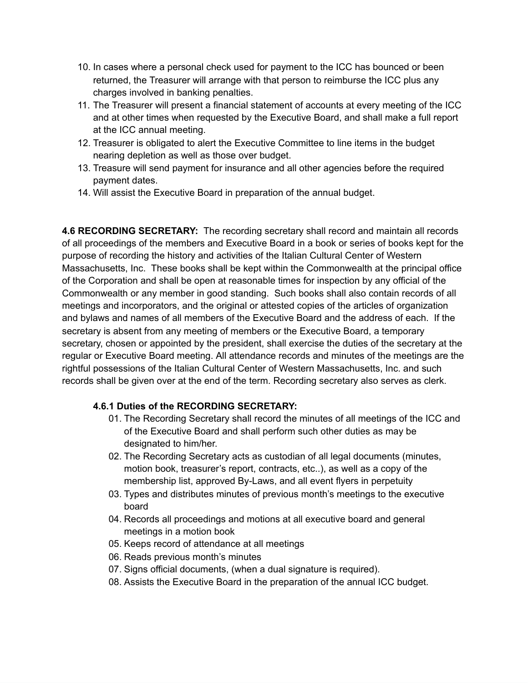- 10. In cases where a personal check used for payment to the ICC has bounced or been returned, the Treasurer will arrange with that person to reimburse the ICC plus any charges involved in banking penalties.
- 11. The Treasurer will present a financial statement of accounts at every meeting of the ICC and at other times when requested by the Executive Board, and shall make a full report at the ICC annual meeting.
- 12. Treasurer is obligated to alert the Executive Committee to line items in the budget nearing depletion as well as those over budget.
- 13. Treasure will send payment for insurance and all other agencies before the required payment dates.
- 14. Will assist the Executive Board in preparation of the annual budget.

**4.6 RECORDING SECRETARY:** The recording secretary shall record and maintain all records of all proceedings of the members and Executive Board in a book or series of books kept for the purpose of recording the history and activities of the Italian Cultural Center of Western Massachusetts, Inc. These books shall be kept within the Commonwealth at the principal office of the Corporation and shall be open at reasonable times for inspection by any official of the Commonwealth or any member in good standing. Such books shall also contain records of all meetings and incorporators, and the original or attested copies of the articles of organization and bylaws and names of all members of the Executive Board and the address of each. If the secretary is absent from any meeting of members or the Executive Board, a temporary secretary, chosen or appointed by the president, shall exercise the duties of the secretary at the regular or Executive Board meeting. All attendance records and minutes of the meetings are the rightful possessions of the Italian Cultural Center of Western Massachusetts, Inc. and such records shall be given over at the end of the term. Recording secretary also serves as clerk.

### **4.6.1 Duties of the RECORDING SECRETARY:**

- 01. The Recording Secretary shall record the minutes of all meetings of the ICC and of the Executive Board and shall perform such other duties as may be designated to him/her.
- 02. The Recording Secretary acts as custodian of all legal documents (minutes, motion book, treasurer's report, contracts, etc..), as well as a copy of the membership list, approved By-Laws, and all event flyers in perpetuity
- 03. Types and distributes minutes of previous month's meetings to the executive board
- 04. Records all proceedings and motions at all executive board and general meetings in a motion book
- 05. Keeps record of attendance at all meetings
- 06. Reads previous month's minutes
- 07. Signs official documents, (when a dual signature is required).
- 08. Assists the Executive Board in the preparation of the annual ICC budget.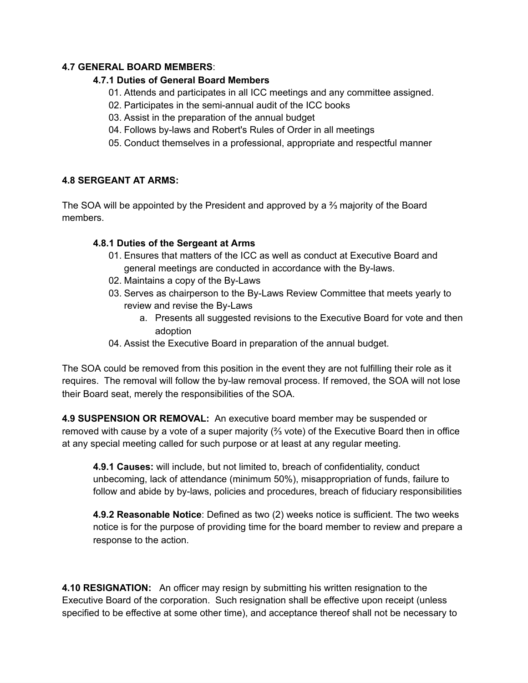#### **4.7 GENERAL BOARD MEMBERS**:

#### **4.7.1 Duties of General Board Members**

- 01. Attends and participates in all ICC meetings and any committee assigned.
- 02. Participates in the semi-annual audit of the ICC books
- 03. Assist in the preparation of the annual budget
- 04. Follows by-laws and Robert's Rules of Order in all meetings
- 05. Conduct themselves in a professional, appropriate and respectful manner

### **4.8 SERGEANT AT ARMS:**

The SOA will be appointed by the President and approved by a ⅔ majority of the Board members.

### **4.8.1 Duties of the Sergeant at Arms**

- 01. Ensures that matters of the ICC as well as conduct at Executive Board and general meetings are conducted in accordance with the By-laws.
- 02. Maintains a copy of the By-Laws
- 03. Serves as chairperson to the By-Laws Review Committee that meets yearly to review and revise the By-Laws
	- a. Presents all suggested revisions to the Executive Board for vote and then adoption
- 04. Assist the Executive Board in preparation of the annual budget.

The SOA could be removed from this position in the event they are not fulfilling their role as it requires. The removal will follow the by-law removal process. If removed, the SOA will not lose their Board seat, merely the responsibilities of the SOA.

**4.9 SUSPENSION OR REMOVAL:** An executive board member may be suspended or removed with cause by a vote of a super majority (⅔ vote) of the Executive Board then in office at any special meeting called for such purpose or at least at any regular meeting.

**4.9.1 Causes:** will include, but not limited to, breach of confidentiality, conduct unbecoming, lack of attendance (minimum 50%), misappropriation of funds, failure to follow and abide by by-laws, policies and procedures, breach of fiduciary responsibilities

**4.9.2 Reasonable Notice**: Defined as two (2) weeks notice is sufficient. The two weeks notice is for the purpose of providing time for the board member to review and prepare a response to the action.

**4.10 RESIGNATION:** An officer may resign by submitting his written resignation to the Executive Board of the corporation. Such resignation shall be effective upon receipt (unless specified to be effective at some other time), and acceptance thereof shall not be necessary to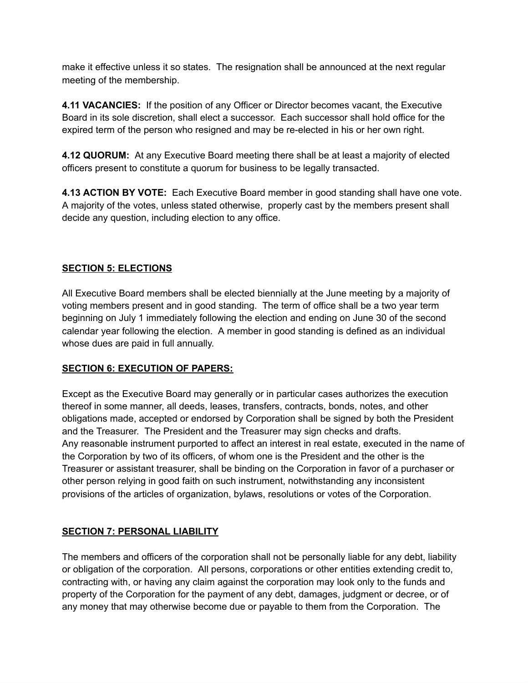make it effective unless it so states. The resignation shall be announced at the next regular meeting of the membership.

**4.11 VACANCIES:** If the position of any Officer or Director becomes vacant, the Executive Board in its sole discretion, shall elect a successor. Each successor shall hold office for the expired term of the person who resigned and may be re-elected in his or her own right.

**4.12 QUORUM:** At any Executive Board meeting there shall be at least a majority of elected officers present to constitute a quorum for business to be legally transacted.

**4.13 ACTION BY VOTE:** Each Executive Board member in good standing shall have one vote. A majority of the votes, unless stated otherwise, properly cast by the members present shall decide any question, including election to any office.

### **SECTION 5: ELECTIONS**

All Executive Board members shall be elected biennially at the June meeting by a majority of voting members present and in good standing. The term of office shall be a two year term beginning on July 1 immediately following the election and ending on June 30 of the second calendar year following the election. A member in good standing is defined as an individual whose dues are paid in full annually.

### **SECTION 6: EXECUTION OF PAPERS:**

Except as the Executive Board may generally or in particular cases authorizes the execution thereof in some manner, all deeds, leases, transfers, contracts, bonds, notes, and other obligations made, accepted or endorsed by Corporation shall be signed by both the President and the Treasurer. The President and the Treasurer may sign checks and drafts. Any reasonable instrument purported to affect an interest in real estate, executed in the name of the Corporation by two of its officers, of whom one is the President and the other is the Treasurer or assistant treasurer, shall be binding on the Corporation in favor of a purchaser or other person relying in good faith on such instrument, notwithstanding any inconsistent provisions of the articles of organization, bylaws, resolutions or votes of the Corporation.

# **SECTION 7: PERSONAL LIABILITY**

The members and officers of the corporation shall not be personally liable for any debt, liability or obligation of the corporation. All persons, corporations or other entities extending credit to, contracting with, or having any claim against the corporation may look only to the funds and property of the Corporation for the payment of any debt, damages, judgment or decree, or of any money that may otherwise become due or payable to them from the Corporation. The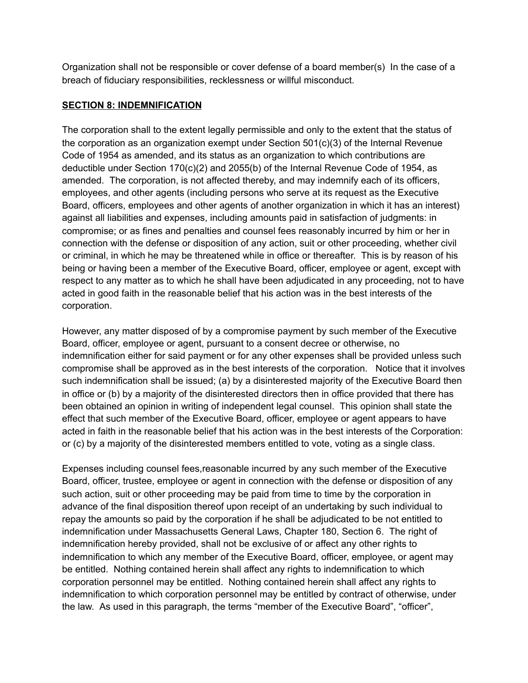Organization shall not be responsible or cover defense of a board member(s) In the case of a breach of fiduciary responsibilities, recklessness or willful misconduct.

### **SECTION 8: INDEMNIFICATION**

The corporation shall to the extent legally permissible and only to the extent that the status of the corporation as an organization exempt under Section 501(c)(3) of the Internal Revenue Code of 1954 as amended, and its status as an organization to which contributions are deductible under Section 170(c)(2) and 2055(b) of the Internal Revenue Code of 1954, as amended. The corporation, is not affected thereby, and may indemnify each of its officers, employees, and other agents (including persons who serve at its request as the Executive Board, officers, employees and other agents of another organization in which it has an interest) against all liabilities and expenses, including amounts paid in satisfaction of judgments: in compromise; or as fines and penalties and counsel fees reasonably incurred by him or her in connection with the defense or disposition of any action, suit or other proceeding, whether civil or criminal, in which he may be threatened while in office or thereafter. This is by reason of his being or having been a member of the Executive Board, officer, employee or agent, except with respect to any matter as to which he shall have been adjudicated in any proceeding, not to have acted in good faith in the reasonable belief that his action was in the best interests of the corporation.

However, any matter disposed of by a compromise payment by such member of the Executive Board, officer, employee or agent, pursuant to a consent decree or otherwise, no indemnification either for said payment or for any other expenses shall be provided unless such compromise shall be approved as in the best interests of the corporation. Notice that it involves such indemnification shall be issued; (a) by a disinterested majority of the Executive Board then in office or (b) by a majority of the disinterested directors then in office provided that there has been obtained an opinion in writing of independent legal counsel. This opinion shall state the effect that such member of the Executive Board, officer, employee or agent appears to have acted in faith in the reasonable belief that his action was in the best interests of the Corporation: or (c) by a majority of the disinterested members entitled to vote, voting as a single class.

Expenses including counsel fees,reasonable incurred by any such member of the Executive Board, officer, trustee, employee or agent in connection with the defense or disposition of any such action, suit or other proceeding may be paid from time to time by the corporation in advance of the final disposition thereof upon receipt of an undertaking by such individual to repay the amounts so paid by the corporation if he shall be adjudicated to be not entitled to indemnification under Massachusetts General Laws, Chapter 180, Section 6. The right of indemnification hereby provided, shall not be exclusive of or affect any other rights to indemnification to which any member of the Executive Board, officer, employee, or agent may be entitled. Nothing contained herein shall affect any rights to indemnification to which corporation personnel may be entitled. Nothing contained herein shall affect any rights to indemnification to which corporation personnel may be entitled by contract of otherwise, under the law. As used in this paragraph, the terms "member of the Executive Board", "officer",